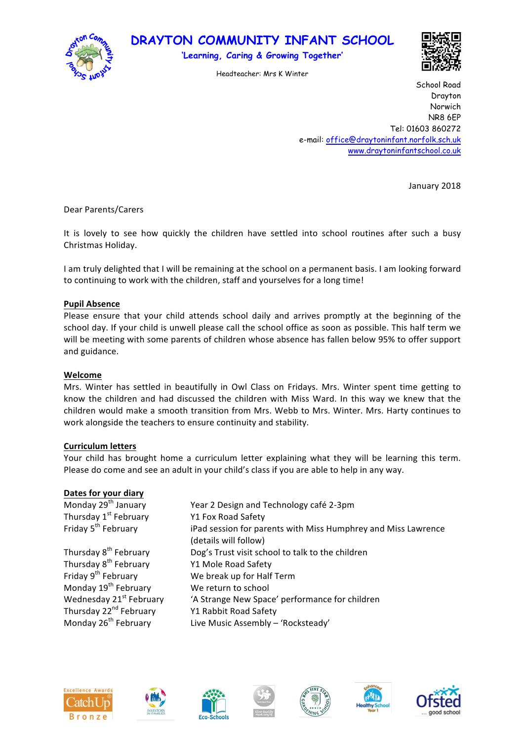

# **DRAYTON COMMUNITY INFANT SCHOOL**

**'Learning, Caring & Growing Together'**

Headteacher: Mrs K Winter



School Road Drayton Norwich NR8 6EP Tel: 01603 860272 e-mail: office@draytoninfant.norfolk.sch.uk www.draytoninfantschool.co.uk

January 2018

Dear Parents/Carers

It is lovely to see how quickly the children have settled into school routines after such a busy Christmas Holiday.

I am truly delighted that I will be remaining at the school on a permanent basis. I am looking forward to continuing to work with the children, staff and yourselves for a long time!

### **Pupil Absence**

Please ensure that your child attends school daily and arrives promptly at the beginning of the school day. If your child is unwell please call the school office as soon as possible. This half term we will be meeting with some parents of children whose absence has fallen below 95% to offer support and guidance.

## **Welcome**

Mrs. Winter has settled in beautifully in Owl Class on Fridays. Mrs. Winter spent time getting to know the children and had discussed the children with Miss Ward. In this way we knew that the children would make a smooth transition from Mrs. Webb to Mrs. Winter. Mrs. Harty continues to work alongside the teachers to ensure continuity and stability.

# **Curriculum letters**

Your child has brought home a curriculum letter explaining what they will be learning this term. Please do come and see an adult in your child's class if you are able to help in any way.

#### **Dates for your diary**

| Monday 29 <sup>th</sup> January    | Year 2 Design and Technology café 2-3pm                                                |
|------------------------------------|----------------------------------------------------------------------------------------|
| Thursday 1st February              | Y1 Fox Road Safety                                                                     |
| Friday 5 <sup>th</sup> February    | iPad session for parents with Miss Humphrey and Miss Lawrence<br>(details will follow) |
| Thursday 8 <sup>th</sup> February  | Dog's Trust visit school to talk to the children                                       |
| Thursday 8 <sup>th</sup> February  | Y1 Mole Road Safety                                                                    |
| Friday 9 <sup>th</sup> February    | We break up for Half Term                                                              |
| Monday 19 <sup>th</sup> February   | We return to school                                                                    |
| Wednesday 21st February            | 'A Strange New Space' performance for children                                         |
| Thursday 22 <sup>nd</sup> February | Y1 Rabbit Road Safety                                                                  |
| Monday 26 <sup>th</sup> February   | Live Music Assembly - 'Rocksteady'                                                     |
|                                    |                                                                                        |